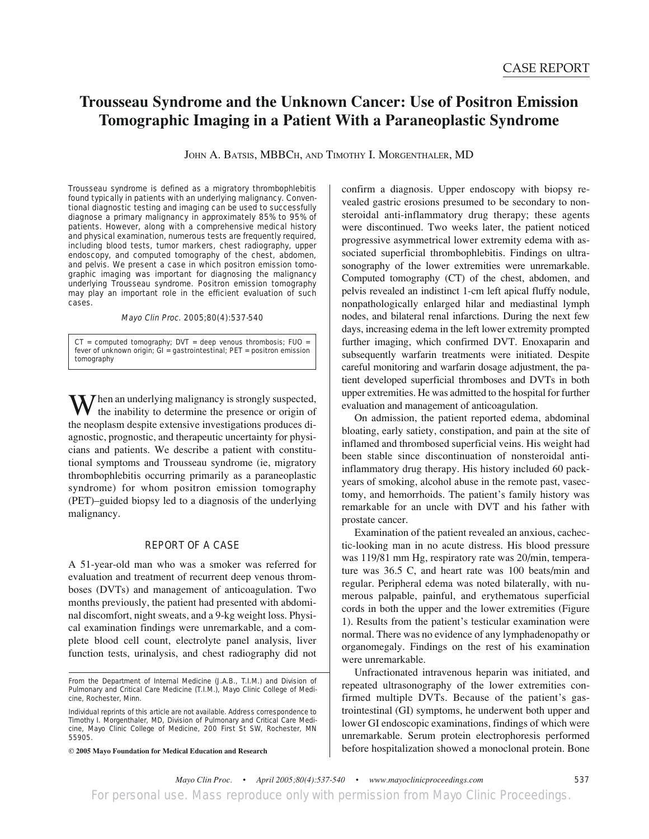# **Trousseau Syndrome and the Unknown Cancer: Use of Positron Emission Tomographic Imaging in a Patient With a Paraneoplastic Syndrome**

JOHN A. BATSIS, MBBCH, AND TIMOTHY I. MORGENTHALER, MD

Trousseau syndrome is defined as a migratory thrombophlebitis found typically in patients with an underlying malignancy. Conventional diagnostic testing and imaging can be used to successfully diagnose a primary malignancy in approximately 85% to 95% of patients. However, along with a comprehensive medical history and physical examination, numerous tests are frequently required, including blood tests, tumor markers, chest radiography, upper endoscopy, and computed tomography of the chest, abdomen, and pelvis. We present a case in which positron emission tomographic imaging was important for diagnosing the malignancy underlying Trousseau syndrome. Positron emission tomography may play an important role in the efficient evaluation of such cases.

Mayo Clin Proc. 2005;80(4):537-540

 $CT = computed tomography$ ;  $DVT = deep venous thrombosis$ ;  $FUO =$ fever of unknown origin; GI = gastrointestinal; PET = positron emission tomography

 $\sum$  hen an underlying malignancy is strongly suspected, the inability to determine the presence or origin of the neoplasm despite extensive investigations produces diagnostic, prognostic, and therapeutic uncertainty for physicians and patients. We describe a patient with constitutional symptoms and Trousseau syndrome (ie, migratory thrombophlebitis occurring primarily as a paraneoplastic syndrome) for whom positron emission tomography (PET)–guided biopsy led to a diagnosis of the underlying malignancy.

### REPORT OF A CASE

A 51-year-old man who was a smoker was referred for evaluation and treatment of recurrent deep venous thromboses (DVTs) and management of anticoagulation. Two months previously, the patient had presented with abdominal discomfort, night sweats, and a 9-kg weight loss. Physical examination findings were unremarkable, and a complete blood cell count, electrolyte panel analysis, liver function tests, urinalysis, and chest radiography did not

**© 2005 Mayo Foundation for Medical Education and Research**

confirm a diagnosis. Upper endoscopy with biopsy revealed gastric erosions presumed to be secondary to nonsteroidal anti-inflammatory drug therapy; these agents were discontinued. Two weeks later, the patient noticed progressive asymmetrical lower extremity edema with associated superficial thrombophlebitis. Findings on ultrasonography of the lower extremities were unremarkable. Computed tomography (CT) of the chest, abdomen, and pelvis revealed an indistinct 1-cm left apical fluffy nodule, nonpathologically enlarged hilar and mediastinal lymph nodes, and bilateral renal infarctions. During the next few days, increasing edema in the left lower extremity prompted further imaging, which confirmed DVT. Enoxaparin and subsequently warfarin treatments were initiated. Despite careful monitoring and warfarin dosage adjustment, the patient developed superficial thromboses and DVTs in both upper extremities. He was admitted to the hospital for further evaluation and management of anticoagulation.

On admission, the patient reported edema, abdominal bloating, early satiety, constipation, and pain at the site of inflamed and thrombosed superficial veins. His weight had been stable since discontinuation of nonsteroidal antiinflammatory drug therapy. His history included 60 packyears of smoking, alcohol abuse in the remote past, vasectomy, and hemorrhoids. The patient's family history was remarkable for an uncle with DVT and his father with prostate cancer.

Examination of the patient revealed an anxious, cachectic-looking man in no acute distress. His blood pressure was 119/81 mm Hg, respiratory rate was 20/min, temperature was 36.5 C, and heart rate was 100 beats/min and regular. Peripheral edema was noted bilaterally, with numerous palpable, painful, and erythematous superficial cords in both the upper and the lower extremities (Figure 1). Results from the patient's testicular examination were normal. There was no evidence of any lymphadenopathy or organomegaly. Findings on the rest of his examination were unremarkable.

Unfractionated intravenous heparin was initiated, and repeated ultrasonography of the lower extremities confirmed multiple DVTs. Because of the patient's gastrointestinal (GI) symptoms, he underwent both upper and lower GI endoscopic examinations, findings of which were unremarkable. Serum protein electrophoresis performed before hospitalization showed a monoclonal protein. Bone

From the Department of Internal Medicine (J.A.B., T.I.M.) and Division of Pulmonary and Critical Care Medicine (T.I.M.), Mayo Clinic College of Medicine, Rochester, Minn.

Individual reprints of this article are not available. Address correspondence to Timothy I. Morgenthaler, MD, Division of Pulmonary and Critical Care Medicine, Mayo Clinic College of Medicine, 200 First St SW, Rochester, MN 55905.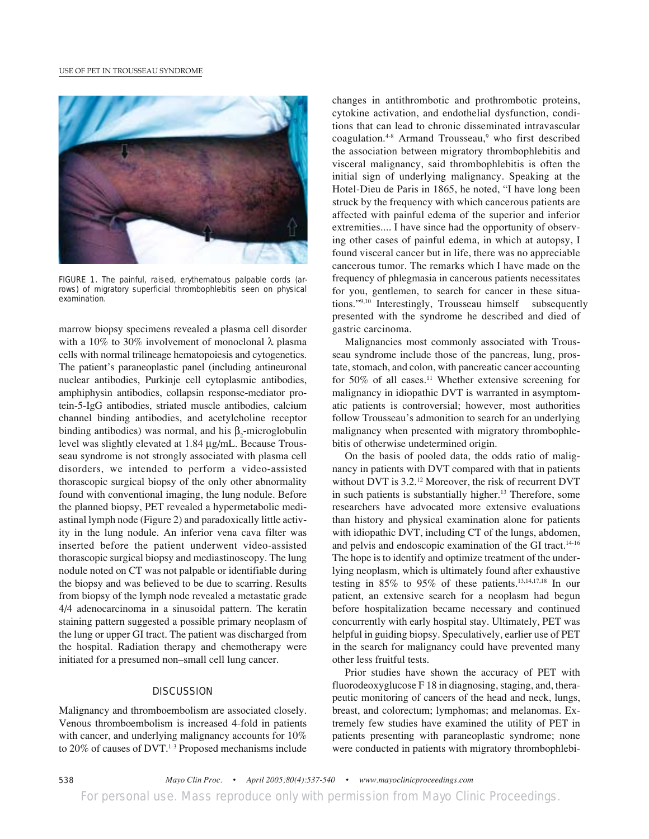

FIGURE 1. The painful, raised, erythematous palpable cords (arrows) of migratory superficial thrombophlebitis seen on physical examination.

marrow biopsy specimens revealed a plasma cell disorder with a 10% to 30% involvement of monoclonal  $\lambda$  plasma cells with normal trilineage hematopoiesis and cytogenetics. The patient's paraneoplastic panel (including antineuronal nuclear antibodies, Purkinje cell cytoplasmic antibodies, amphiphysin antibodies, collapsin response-mediator protein-5-IgG antibodies, striated muscle antibodies, calcium channel binding antibodies, and acetylcholine receptor binding antibodies) was normal, and his  $\beta_2$ -microglobulin level was slightly elevated at 1.84 µg/mL. Because Trousseau syndrome is not strongly associated with plasma cell disorders, we intended to perform a video-assisted thorascopic surgical biopsy of the only other abnormality found with conventional imaging, the lung nodule. Before the planned biopsy, PET revealed a hypermetabolic mediastinal lymph node (Figure 2) and paradoxically little activity in the lung nodule. An inferior vena cava filter was inserted before the patient underwent video-assisted thorascopic surgical biopsy and mediastinoscopy. The lung nodule noted on CT was not palpable or identifiable during the biopsy and was believed to be due to scarring. Results from biopsy of the lymph node revealed a metastatic grade 4/4 adenocarcinoma in a sinusoidal pattern. The keratin staining pattern suggested a possible primary neoplasm of the lung or upper GI tract. The patient was discharged from the hospital. Radiation therapy and chemotherapy were initiated for a presumed non–small cell lung cancer.

## **DISCUSSION**

Malignancy and thromboembolism are associated closely. Venous thromboembolism is increased 4-fold in patients with cancer, and underlying malignancy accounts for 10% to 20% of causes of DVT.<sup>1-3</sup> Proposed mechanisms include

changes in antithrombotic and prothrombotic proteins, cytokine activation, and endothelial dysfunction, conditions that can lead to chronic disseminated intravascular coagulation.<sup>4-8</sup> Armand Trousseau,<sup>9</sup> who first described the association between migratory thrombophlebitis and visceral malignancy, said thrombophlebitis is often the initial sign of underlying malignancy. Speaking at the Hotel-Dieu de Paris in 1865, he noted, "I have long been struck by the frequency with which cancerous patients are affected with painful edema of the superior and inferior extremities.... I have since had the opportunity of observing other cases of painful edema, in which at autopsy, I found visceral cancer but in life, there was no appreciable cancerous tumor. The remarks which I have made on the frequency of phlegmasia in cancerous patients necessitates for you, gentlemen, to search for cancer in these situations."9,10 Interestingly, Trousseau himself subsequently presented with the syndrome he described and died of gastric carcinoma.

Malignancies most commonly associated with Trousseau syndrome include those of the pancreas, lung, prostate, stomach, and colon, with pancreatic cancer accounting for  $50\%$  of all cases.<sup>11</sup> Whether extensive screening for malignancy in idiopathic DVT is warranted in asymptomatic patients is controversial; however, most authorities follow Trousseau's admonition to search for an underlying malignancy when presented with migratory thrombophlebitis of otherwise undetermined origin.

On the basis of pooled data, the odds ratio of malignancy in patients with DVT compared with that in patients without DVT is 3.2.12 Moreover, the risk of recurrent DVT in such patients is substantially higher.<sup>13</sup> Therefore, some researchers have advocated more extensive evaluations than history and physical examination alone for patients with idiopathic DVT, including CT of the lungs, abdomen, and pelvis and endoscopic examination of the GI tract.<sup>14-16</sup> The hope is to identify and optimize treatment of the underlying neoplasm, which is ultimately found after exhaustive testing in 85% to 95% of these patients.13,14,17,18 In our patient, an extensive search for a neoplasm had begun before hospitalization became necessary and continued concurrently with early hospital stay. Ultimately, PET was helpful in guiding biopsy. Speculatively, earlier use of PET in the search for malignancy could have prevented many other less fruitful tests.

Prior studies have shown the accuracy of PET with fluorodeoxyglucose F 18 in diagnosing, staging, and, therapeutic monitoring of cancers of the head and neck, lungs, breast, and colorectum; lymphomas; and melanomas. Extremely few studies have examined the utility of PET in patients presenting with paraneoplastic syndrome; none were conducted in patients with migratory thrombophlebi-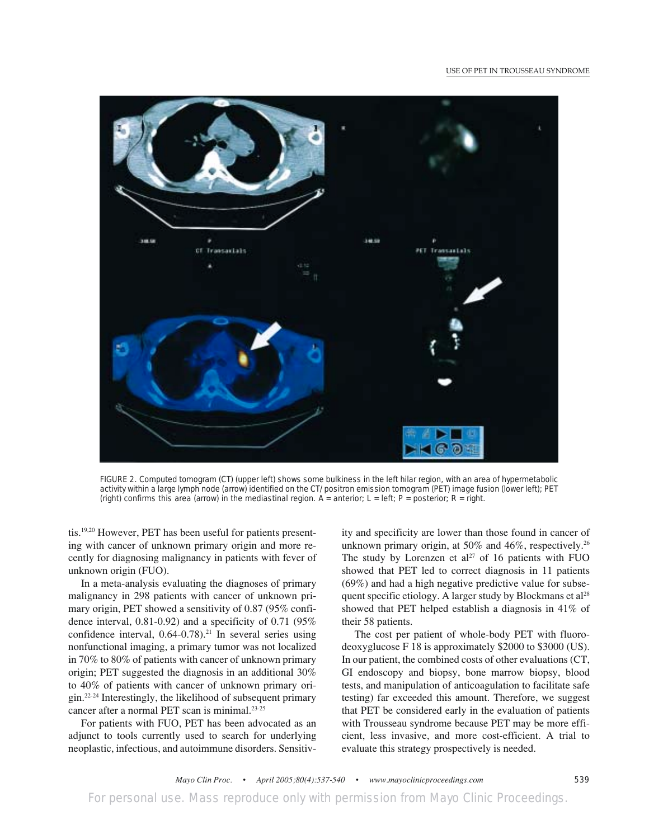#### USE OF PET IN TROUSSEAU SYNDROME



FIGURE 2. Computed tomogram (CT) (upper left) shows some bulkiness in the left hilar region, with an area of hypermetabolic activity within a large lymph node (arrow) identified on the CT/positron emission tomogram (PET) image fusion (lower left); PET (right) confirms this area (arrow) in the mediastinal region.  $A =$  anterior;  $L =$  left; P = posterior; R = right.

tis.19,20 However, PET has been useful for patients presenting with cancer of unknown primary origin and more recently for diagnosing malignancy in patients with fever of unknown origin (FUO).

In a meta-analysis evaluating the diagnoses of primary malignancy in 298 patients with cancer of unknown primary origin, PET showed a sensitivity of 0.87 (95% confidence interval, 0.81-0.92) and a specificity of 0.71 (95% confidence interval,  $0.64$ - $0.78$ ).<sup>21</sup> In several series using nonfunctional imaging, a primary tumor was not localized in 70% to 80% of patients with cancer of unknown primary origin; PET suggested the diagnosis in an additional 30% to 40% of patients with cancer of unknown primary origin.22-24 Interestingly, the likelihood of subsequent primary cancer after a normal PET scan is minimal.23-25

For patients with FUO, PET has been advocated as an adjunct to tools currently used to search for underlying neoplastic, infectious, and autoimmune disorders. Sensitivity and specificity are lower than those found in cancer of unknown primary origin, at 50% and 46%, respectively.<sup>26</sup> The study by Lorenzen et al<sup>27</sup> of 16 patients with FUO showed that PET led to correct diagnosis in 11 patients (69%) and had a high negative predictive value for subsequent specific etiology. A larger study by Blockmans et  $al<sup>28</sup>$ showed that PET helped establish a diagnosis in 41% of their 58 patients.

The cost per patient of whole-body PET with fluorodeoxyglucose F 18 is approximately \$2000 to \$3000 (US). In our patient, the combined costs of other evaluations (CT, GI endoscopy and biopsy, bone marrow biopsy, blood tests, and manipulation of anticoagulation to facilitate safe testing) far exceeded this amount. Therefore, we suggest that PET be considered early in the evaluation of patients with Trousseau syndrome because PET may be more efficient, less invasive, and more cost-efficient. A trial to evaluate this strategy prospectively is needed.